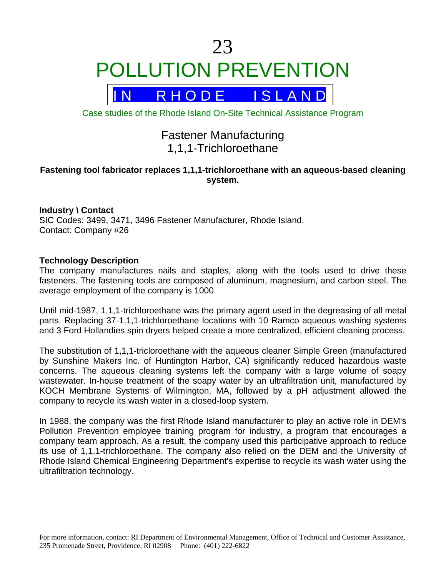# 23 POLLUTION PREVENTION



Case studies of the Rhode Island On-Site Technical Assistance Program

# Fastener Manufacturing 1,1,1-Trichloroethane

# **Fastening tool fabricator replaces 1,1,1-trichloroethane with an aqueous-based cleaning system.**

# **Industry \ Contact**

SIC Codes: 3499, 3471, 3496 Fastener Manufacturer, Rhode Island. Contact: Company #26

## **Technology Description**

The company manufactures nails and staples, along with the tools used to drive these fasteners. The fastening tools are composed of aluminum, magnesium, and carbon steel. The average employment of the company is 1000.

Until mid-1987, 1,1,1-trichloroethane was the primary agent used in the degreasing of all metal parts. Replacing 37-1,1,1-trichloroethane locations with 10 Ramco aqueous washing systems and 3 Ford Hollandies spin dryers helped create a more centralized, efficient cleaning process.

The substitution of 1,1,1-tricloroethane with the aqueous cleaner Simple Green (manufactured by Sunshine Makers Inc. of Huntington Harbor, CA) significantly reduced hazardous waste concerns. The aqueous cleaning systems left the company with a large volume of soapy wastewater. In-house treatment of the soapy water by an ultrafiltration unit, manufactured by KOCH Membrane Systems of Wilmington, MA, followed by a pH adjustment allowed the company to recycle its wash water in a closed-loop system.

In 1988, the company was the first Rhode Island manufacturer to play an active role in DEM's Pollution Prevention employee training program for industry, a program that encourages a company team approach. As a result, the company used this participative approach to reduce its use of 1,1,1-trichloroethane. The company also relied on the DEM and the University of Rhode Island Chemical Engineering Department's expertise to recycle its wash water using the ultrafiltration technology.